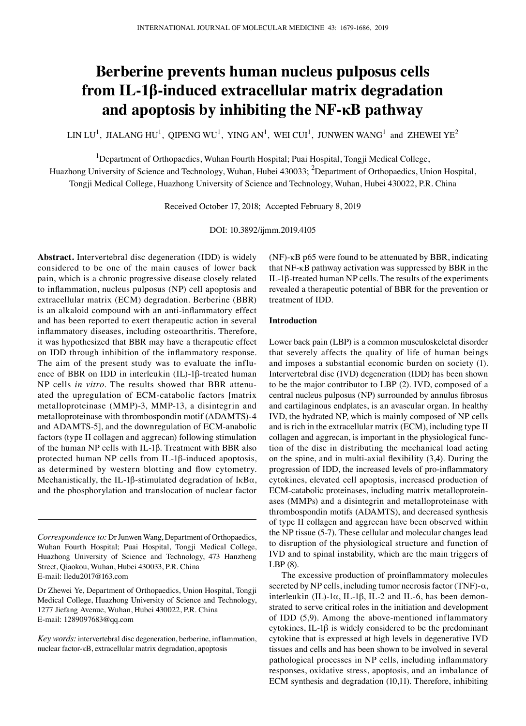# **Berberine prevents human nucleus pulposus cells from IL‑1β‑induced extracellular matrix degradation and apoptosis by inhibiting the NF‑κB pathway**

LIN LU<sup>1</sup>, JIALANG HU<sup>1</sup>, QIPENG WU<sup>1</sup>, YING AN<sup>1</sup>, WEI CUI<sup>1</sup>, JUNWEN WANG<sup>1</sup> and ZHEWEI YE<sup>2</sup>

<sup>1</sup>Department of Orthopaedics, Wuhan Fourth Hospital; Puai Hospital, Tongji Medical College,

Huazhong University of Science and Technology, Wuhan, Hubei 430033; <sup>2</sup>Department of Orthopaedics, Union Hospital, Tongji Medical College, Huazhong University of Science and Technology, Wuhan, Hubei 430022, P.R. China

Received October 17, 2018; Accepted February 8, 2019

DOI: 10.3892/ijmm.2019.4105

**Abstract.** Intervertebral disc degeneration (IDD) is widely considered to be one of the main causes of lower back pain, which is a chronic progressive disease closely related to inflammation, nucleus pulposus (NP) cell apoptosis and extracellular matrix (ECM) degradation. Berberine (BBR) is an alkaloid compound with an anti-inflammatory effect and has been reported to exert therapeutic action in several inflammatory diseases, including osteoarthritis. Therefore, it was hypothesized that BBR may have a therapeutic effect on IDD through inhibition of the inflammatory response. The aim of the present study was to evaluate the influence of BBR on IDD in interleukin (IL)-1β-treated human NP cells *in vitro*. The results showed that BBR attenuated the upregulation of ECM-catabolic factors [matrix metalloproteinase (MMP)‑3, MMP‑13, a disintegrin and metalloproteinase with thrombospondin motif (ADAMTS)-4 and ADAMTS-5], and the downregulation of ECM-anabolic factors (type II collagen and aggrecan) following stimulation of the human NP cells with IL‑1β. Treatment with BBR also protected human NP cells from IL‑1β-induced apoptosis, as determined by western blotting and flow cytometry. Mechanistically, the IL-1 $\beta$ -stimulated degradation of I $\kappa$ B $\alpha$ , and the phosphorylation and translocation of nuclear factor (NF)-κB p65 were found to be attenuated by BBR, indicating that NF-κB pathway activation was suppressed by BBR in the IL-1β‑treated human NP cells. The results of the experiments revealed a therapeutic potential of BBR for the prevention or treatment of IDD.

## **Introduction**

Lower back pain (LBP) is a common musculoskeletal disorder that severely affects the quality of life of human beings and imposes a substantial economic burden on society (1). Intervertebral disc (IVD) degeneration (IDD) has been shown to be the major contributor to LBP (2). IVD, composed of a central nucleus pulposus (NP) surrounded by annulus fibrosus and cartilaginous endplates, is an avascular organ. In healthy IVD, the hydrated NP, which is mainly composed of NP cells and is rich in the extracellular matrix (ECM), including type II collagen and aggrecan, is important in the physiological function of the disc in distributing the mechanical load acting on the spine, and in multi-axial flexibility  $(3,4)$ . During the progression of IDD, the increased levels of pro‑inflammatory cytokines, elevated cell apoptosis, increased production of ECM-catabolic proteinases, including matrix metalloproteinases (MMPs) and a disintegrin and metalloproteinase with thrombospondin motifs (ADAMTS), and decreased synthesis of type II collagen and aggrecan have been observed within the NP tissue (5‑7). These cellular and molecular changes lead to disruption of the physiological structure and function of IVD and to spinal instability, which are the main triggers of LBP (8).

The excessive production of proinflammatory molecules secreted by NP cells, including tumor necrosis factor (TNF)- $\alpha$ , interleukin (IL)-1α, IL-1β, IL-2 and IL-6, has been demonstrated to serve critical roles in the initiation and development of IDD (5,9). Among the above-mentioned inflammatory cytokines, IL-1 $\beta$  is widely considered to be the predominant cytokine that is expressed at high levels in degenerative IVD tissues and cells and has been shown to be involved in several pathological processes in NP cells, including inflammatory responses, oxidative stress, apoptosis, and an imbalance of ECM synthesis and degradation (10,11). Therefore, inhibiting

*Correspondence to:* Dr Junwen Wang, Department of Orthopaedics, Wuhan Fourth Hospital; Puai Hospital, Tongji Medical College, Huazhong University of Science and Technology, 473 Hanzheng Street, Qiaokou, Wuhan, Hubei 430033, P.R. China E-mail: lledu2017@163.com

Dr Zhewei Ye, Department of Orthopaedics, Union Hospital, Tongji Medical College, Huazhong University of Science and Technology, 1277 Jiefang Avenue, Wuhan, Hubei 430022, P.R. China E-mail: 1289097683@qq.com

*Key words:* intervertebral disc degeneration, berberine, inflammation, nuclear factor-κB, extracellular matrix degradation, apoptosis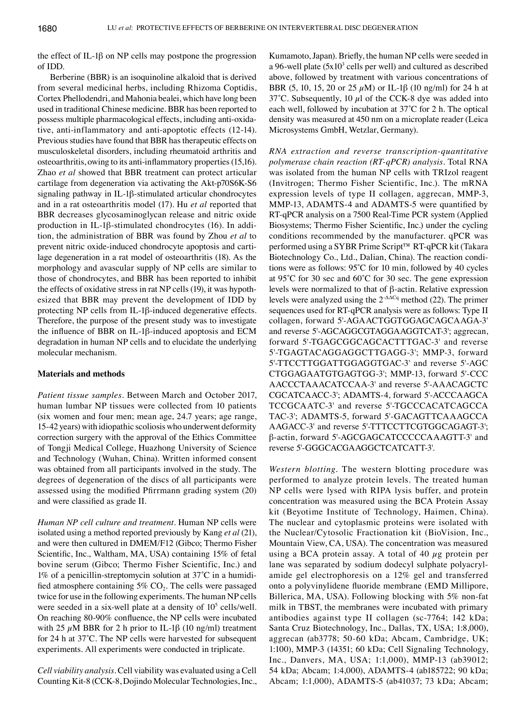the effect of IL-1β on NP cells may postpone the progression of IDD.

Berberine (BBR) is an isoquinoline alkaloid that is derived from several medicinal herbs, including Rhizoma Coptidis, Cortex Phellodendri, and Mahonia bealei, which have long been used in traditional Chinese medicine. BBR has been reported to possess multiple pharmacological effects, including anti-oxidative, anti-inflammatory and anti-apoptotic effects (12-14). Previous studies have found that BBR has therapeutic effects on musculoskeletal disorders, including rheumatoid arthritis and osteoarthritis, owing to its anti-inflammatory properties (15,16). Zhao *et al* showed that BBR treatment can protect articular cartilage from degeneration via activating the Akt-p70S6K-S6 signaling pathway in IL-1β-stimulated articular chondrocytes and in a rat osteoarthritis model (17). Hu *et al* reported that BBR decreases glycosaminoglycan release and nitric oxide production in IL-1β-stimulated chondrocytes (16). In addition, the administration of BBR was found by Zhou *et al* to prevent nitric oxide-induced chondrocyte apoptosis and cartilage degeneration in a rat model of osteoarthritis (18). As the morphology and avascular supply of NP cells are similar to those of chondrocytes, and BBR has been reported to inhibit the effects of oxidative stress in rat NP cells (19), it was hypothesized that BBR may prevent the development of IDD by protecting NP cells from IL‑1β-induced degenerative effects. Therefore, the purpose of the present study was to investigate the influence of BBR on IL‑1β-induced apoptosis and ECM degradation in human NP cells and to elucidate the underlying molecular mechanism.

#### **Materials and methods**

*Patient tissue samples.* Between March and October 2017, human lumbar NP tissues were collected from 10 patients (six women and four men; mean age, 24.7 years; age range, 15-42 years) with idiopathic scoliosis who underwent deformity correction surgery with the approval of the Ethics Committee of Tongji Medical College, Huazhong University of Science and Technology (Wuhan, China). Written informed consent was obtained from all participants involved in the study. The degrees of degeneration of the discs of all participants were assessed using the modified Pfirrmann grading system (20) and were classified as grade II.

*Human NP cell culture and treatment.* Human NP cells were isolated using a method reported previously by Kang *et al* (21), and were then cultured in DMEM/F12 (Gibco; Thermo Fisher Scientific, Inc., Waltham, MA, USA) containing 15% of fetal bovine serum (Gibco; Thermo Fisher Scientific, Inc.) and 1% of a penicillin-streptomycin solution at  $37^{\circ}$ C in a humidified atmosphere containing  $5\%$  CO<sub>2</sub>. The cells were passaged twice for use in the following experiments. The human NP cells were seeded in a six-well plate at a density of 10<sup>5</sup> cells/well. On reaching 80‑90% confluence, the NP cells were incubated with 25  $\mu$ M BBR for 2 h prior to IL-1 $\beta$  (10 ng/ml) treatment for 24 h at 37˚C. The NP cells were harvested for subsequent experiments. All experiments were conducted in triplicate.

*Cell viability analysis.* Cell viability was evaluated using a Cell Counting Kit-8 (CCK-8, Dojindo Molecular Technologies, Inc., Kumamoto, Japan). Briefly, the human NP cells were seeded in a 96-well plate  $(5x10^3 \text{ cells per well})$  and cultured as described above, followed by treatment with various concentrations of BBR (5, 10, 15, 20 or 25  $\mu$ M) or IL-1β (10 ng/ml) for 24 h at 37°C. Subsequently, 10  $\mu$ l of the CCK-8 dye was added into each well, followed by incubation at 37˚C for 2 h. The optical density was measured at 450 nm on a microplate reader (Leica Microsystems GmbH, Wetzlar, Germany).

*RNA extraction and reverse transcription‑quantitative polymerase chain reaction (RT‑qPCR) analysis.* Total RNA was isolated from the human NP cells with TRIzol reagent (Invitrogen; Thermo Fisher Scientific, Inc.). The mRNA expression levels of type II collagen, aggrecan, MMP‑3, MMP-13, ADAMTS-4 and ADAMTS-5 were quantified by RT-qPCR analysis on a 7500 Real-Time PCR system (Applied Biosystems; Thermo Fisher Scientific, Inc.) under the cycling conditions recommended by the manufacturer. qPCR was performed using a SYBR Prime Script™ RT-qPCR kit (Takara Biotechnology Co., Ltd., Dalian, China). The reaction conditions were as follows: 95˚C for 10 min, followed by 40 cycles at 95˚C for 30 sec and 60˚C for 30 sec. The gene expression levels were normalized to that of β-actin. Relative expression levels were analyzed using the  $2<sup>{\triangle} \Delta C_q</sup>$  method (22). The primer sequences used for RT‑qPCR analysis were as follows: Type II collagen, forward 5'-AGAACTGGTGGAGCAGCAAGA-3' and reverse 5'‑AGCAGGCGTAGGAAGGTCAT‑3'; aggrecan, forward 5'-TGAGCGGCAGCACTTTGAC‑3' and reverse 5'‑TGAGTACAGGAGGCTTGAGG‑3'; MMP‑3, forward 5'-TTCCTTGGATTGGAGGTGAC‑3' and reverse 5'-AGC CTGGAGAATGTGAGTGG‑3'; MMP‑13, forward 5'‑CCC AACCCTAAACATCCAA-3' and reverse 5'-AAACAGCTC CGCATCAACC‑3'; ADAMTS‑4, forward 5'‑ACCCAAGCA TCCGCAATC‑3' and reverse 5'-TGCCCACATCAGCCA TAC‑3'; ADAMTS‑5, forward 5'‑GACAGTTCAAAGCCA AAGACC-3' and reverse 5'-TTTCCTTCGTGGCAGAGT-3'; β-actin, forward 5'-AGCGAGCATCCCCCAAAGTT-3' and reverse 5'-GGGCACGAAGGCTCATCATT-3'.

*Western blotting.* The western blotting procedure was performed to analyze protein levels. The treated human NP cells were lysed with RIPA lysis buffer, and protein concentration was measured using the BCA Protein Assay kit (Beyotime Institute of Technology, Haimen, China). The nuclear and cytoplasmic proteins were isolated with the Nuclear/Cytosolic Fractionation kit (BioVision, Inc., Mountain View, CA, USA). The concentration was measured using a BCA protein assay. A total of 40  $\mu$ g protein per lane was separated by sodium dodecyl sulphate polyacrylamide gel electrophoresis on a 12% gel and transferred onto a polyvinylidene fluoride membrane (EMD Millipore, Billerica, MA, USA). Following blocking with 5% non-fat milk in TBST, the membranes were incubated with primary antibodies against type II collagen (sc‑7764; 142 kDa; Santa Cruz Biotechnology, Inc., Dallas, TX, USA; 1:8,000), aggrecan (ab3778; 50‑60 kDa; Abcam, Cambridge, UK; 1:100), MMP‑3 (14351; 60 kDa; Cell Signaling Technology, Inc., Danvers, MA, USA; 1:1,000), MMP‑13 (ab39012; 54 kDa; Abcam; 1:4,000), ADAMTS‑4 (ab185722; 90 kDa; Abcam; 1:1,000), ADAMTS‑5 (ab41037; 73 kDa; Abcam;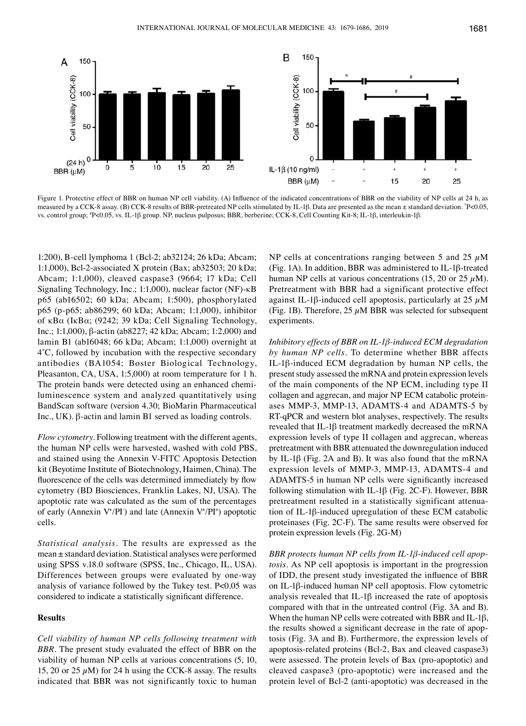

Figure 1. Protective effect of BBR on human NP cell viability. (A) Influence of the indicated concentrations of BBR on the viability of NP cells at 24 h, as measured by a CCK‑8 assay. (B) CCK‑8 results of BBR‑pretreated NP cells stimulated by IL‑1β. Data are presented as the mean ± standard deviation. \* P<0.05, vs. control group; # P<0.05, vs. IL‑1β group. NP, nucleus pulposus; BBR, berberine; CCK‑8, Cell Counting Kit‑8; IL‑1β, interleukin-1β.

1:200), B-cell lymphoma 1 (Bcl-2; ab32124; 26 kDa; Abcam; 1:1,000), Bcl‑2‑associated X protein (Bax; ab32503; 20 kDa; Abcam; 1:1,000), cleaved caspase3 (9664; 17 kDa; Cell Signaling Technology, Inc.; 1:1,000), nuclear factor (NF)‑κB p65 (ab16502; 60 kDa; Abcam; 1:500), phosphorylated p65 (p‑p65; ab86299; 60 kDa; Abcam; 1:1,000), inhibitor of κBα (IκBα; (9242; 39 kDa; Cell Signaling Technology, Inc.; 1:1,000), β‑actin (ab8227; 42 kDa; Abcam; 1:2,000) and lamin B1 (ab16048; 66 kDa; Abcam; 1:1,000) overnight at 4˚C, followed by incubation with the respective secondary antibodies (BA1054; Boster Biological Technology, Pleasanton, CA, USA, 1:5,000) at room temperature for 1 h. The protein bands were detected using an enhanced chemiluminescence system and analyzed quantitatively using BandScan software (version 4.30; BioMarin Pharmaceutical Inc., UK). β-actin and lamin B1 served as loading controls.

*Flow cytometry.* Following treatment with the different agents, the human NP cells were harvested, washed with cold PBS, and stained using the Annexin V-FITC Apoptosis Detection kit (Beyotime Institute of Biotechnology, Haimen, China). The fluorescence of the cells was determined immediately by flow cytometry (BD Biosciences, Franklin Lakes, NJ, USA). The apoptotic rate was calculated as the sum of the percentages of early (Annexin  $V^{\dagger}/PI$ ) and late (Annexin  $V^{\dagger}/PI^{\dagger}$ ) apoptotic cells.

*Statistical analysis.* The results are expressed as the mean ± standard deviation. Statistical analyses were performed using SPSS v.18.0 software (SPSS, Inc., Chicago, IL, USA). Differences between groups were evaluated by one-way analysis of variance followed by the Tukey test. P<0.05 was considered to indicate a statistically significant difference.

## **Results**

*Cell viability of human NP cells following treatment with BBR.* The present study evaluated the effect of BBR on the viability of human NP cells at various concentrations (5, 10, 15, 20 or 25  $\mu$ M) for 24 h using the CCK-8 assay. The results indicated that BBR was not significantly toxic to human NP cells at concentrations ranging between 5 and 25  $\mu$ M (Fig. 1A). In addition, BBR was administered to IL-1β-treated human NP cells at various concentrations (15, 20 or 25  $\mu$ M). Pretreatment with BBR had a significant protective effect against IL-1 $\beta$ -induced cell apoptosis, particularly at 25  $\mu$ M (Fig. 1B). Therefore, 25  $\mu$ M BBR was selected for subsequent experiments.

*Inhibitory effects of BBR on IL‑1β‑induced ECM degradation by human NP cells.* To determine whether BBR affects IL-1β‑induced ECM degradation by human NP cells, the present study assessed the mRNA and protein expression levels of the main components of the NP ECM, including type II collagen and aggrecan, and major NP ECM catabolic proteinases MMP‑3, MMP‑13, ADAMTS‑4 and ADAMTS‑5 by RT‑qPCR and western blot analyses, respectively. The results revealed that IL-1β treatment markedly decreased the mRNA expression levels of type II collagen and aggrecan, whereas pretreatment with BBR attenuated the downregulation induced by IL-1β (Fig. 2A and B). It was also found that the mRNA expression levels of MMP‑3, MMP‑13, ADAMTS‑4 and ADAMTS‑5 in human NP cells were significantly increased following stimulation with IL-1β (Fig. 2C‑F). However, BBR pretreatment resulted in a statistically significant attenuation of IL-1β-induced upregulation of these ECM catabolic proteinases (Fig. 2C‑F). The same results were observed for protein expression levels (Fig. 2G-M)

*BBR protects human NP cells from IL‑1β‑induced cell apop‑ tosis.* As NP cell apoptosis is important in the progression of IDD, the present study investigated the influence of BBR on IL-1β‑induced human NP cell apoptosis. Flow cytometric analysis revealed that IL-1 $\beta$  increased the rate of apoptosis compared with that in the untreated control (Fig. 3A and B). When the human NP cells were cotreated with BBR and IL‑1β, the results showed a significant decrease in the rate of apoptosis (Fig. 3A and B). Furthermore, the expression levels of apoptosis-related proteins (Bcl-2, Bax and cleaved caspase3) were assessed. The protein levels of Bax (pro-apoptotic) and cleaved caspase3 (pro-apoptotic) were increased and the protein level of Bcl-2 (anti-apoptotic) was decreased in the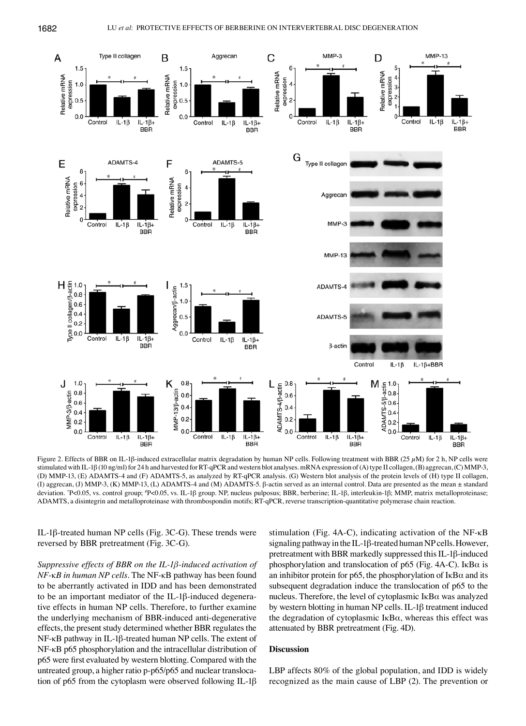

Figure 2. Effects of BBR on IL-1β‑induced extracellular matrix degradation by human NP cells. Following treatment with BBR (25 µM) for 2 h, NP cells were stimulated with IL-1β (10 ng/ml) for 24 h and harvested for RT‑qPCR and western blot analyses. mRNA expression of (A)type II collagen, (B) aggrecan, (C) MMP‑3, (D) MMP-13, (E) ADAMTS-4 and (F) ADAMTS-5, as analyzed by RT-qPCR analysis. (G) Western blot analysis of the protein levels of (H) type II collagen, (I) aggrecan, (J) MMP‑3, (K) MMP‑13, (L) ADAMTS‑4 and (M) ADAMTS‑5. β-actin served as an internal control. Data are presented as the mean ± standard deviation. \* P<0.05, vs. control group; # P<0.05, vs. IL‑1β group. NP, nucleus pulposus; BBR, berberine; IL‑1β, interleukin-1β; MMP, matrix metalloproteinase; ADAMTS, a disintegrin and metalloproteinase with thrombospondin motifs; RT‑qPCR, reverse transcription‑quantitative polymerase chain reaction.

IL-1β-treated human NP cells (Fig. 3C-G). These trends were reversed by BBR pretreatment (Fig. 3C‑G).

*Suppressive effects of BBR on the IL‑1β‑induced activation of NF‑*κ*B in human NP cells.* The NF-κB pathway has been found to be aberrantly activated in IDD and has been demonstrated to be an important mediator of the IL-1β-induced degenerative effects in human NP cells. Therefore, to further examine the underlying mechanism of BBR-induced anti-degenerative effects, the present study determined whether BBR regulates the NF-κB pathway in IL-1β‑treated human NP cells. The extent of NF-κB p65 phosphorylation and the intracellular distribution of p65 were first evaluated by western blotting. Compared with the untreated group, a higher ratio p-p65/p65 and nuclear translocation of p65 from the cytoplasm were observed following IL-1β

stimulation (Fig. 4A‑C), indicating activation of the NF-κB signaling pathway in the IL-1β‑treated human NP cells. However, pretreatment with BBR markedly suppressed this IL-1β-induced phosphorylation and translocation of p65 (Fig. 4A–C). IκBα is an inhibitor protein for p65, the phosphorylation of  $I \kappa B\alpha$  and its subsequent degradation induce the translocation of p65 to the nucleus. Therefore, the level of cytoplasmic IκBα was analyzed by western blotting in human NP cells. IL‑1β treatment induced the degradation of cytoplasmic IκBα, whereas this effect was attenuated by BBR pretreatment (Fig. 4D).

#### **Discussion**

LBP affects 80% of the global population, and IDD is widely recognized as the main cause of LBP (2). The prevention or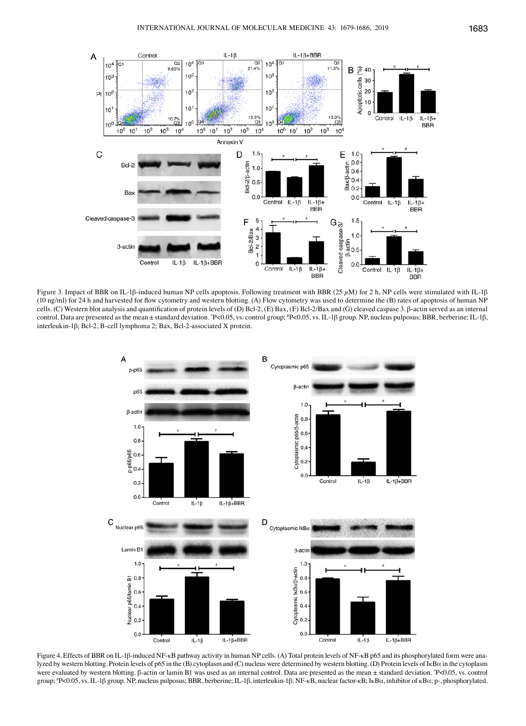

Figure 3. Impact of BBR on IL-1β-induced human NP cells apoptosis. Following treatment with BBR (25  $\mu$ M) for 2 h, NP cells were stimulated with IL-1β (10 ng/ml) for 24 h and harvested for flow cytometry and western blotting. (A) Flow cytometry was used to determine the (B) rates of apoptosis of human NP cells. (C) Western blot analysis and quantification of protein levels of (D) Bcl-2, (E) Bax, (F) Bcl-2/Bax and (G) cleaved caspase 3. β-actin served as an internal control. Data are presented as the mean ± standard deviation. \*P<0.05, vs. control group; \*P<0.05, vs. IL-1β group. NP, nucleus pulposus; BBR, berberine; IL-1β, interleukin-1β; Bcl-2, B-cell lymphoma 2; Bax, Bcl-2-associated X protein.



Figure 4. Effects of BBR on IL-1β-induced NF-κB pathway activity in human NP cells. (A) Total protein levels of NF‑κB p65 and its phosphorylated form were analyzed by western blotting. Protein levels of p65 in the (B) cytoplasm and (C) nucleus were determined by western blotting. (D) Protein levels of IκBα in the cytoplasm were evaluated by western blotting. β-actin or lamin B1 was used as an internal control. Data are presented as the mean ± standard deviation. \*P<0.05, vs. control group; #P<0.05, vs. IL-1β group. NP, nucleus pulposus; BBR, berberine; IL-1β, interleukin-1β; NF-κB, nuclear factor-κB; IκBα, inhibitor of κBα; p-, phosphorylated.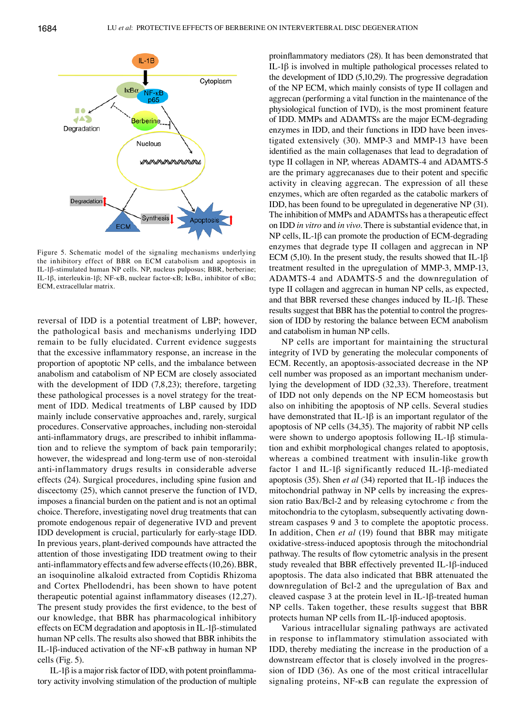

Figure 5. Schematic model of the signaling mechanisms underlying the inhibitory effect of BBR on ECM catabolism and apoptosis in IL-1β‑stimulated human NP cells. NP, nucleus pulposus; BBR, berberine; IL-1β, interleukin-1β; NF‑κB, nuclear factor-κB; IκBα, inhibitor of κBα; ECM, extracellular matrix.

reversal of IDD is a potential treatment of LBP; however, the pathological basis and mechanisms underlying IDD remain to be fully elucidated. Current evidence suggests that the excessive inflammatory response, an increase in the proportion of apoptotic NP cells, and the imbalance between anabolism and catabolism of NP ECM are closely associated with the development of IDD (7,8,23); therefore, targeting these pathological processes is a novel strategy for the treatment of IDD. Medical treatments of LBP caused by IDD mainly include conservative approaches and, rarely, surgical procedures. Conservative approaches, including non-steroidal anti-inflammatory drugs, are prescribed to inhibit inflammation and to relieve the symptom of back pain temporarily; however, the widespread and long-term use of non-steroidal anti-inflammatory drugs results in considerable adverse effects (24). Surgical procedures, including spine fusion and discectomy (25), which cannot preserve the function of IVD, imposes a financial burden on the patient and is not an optimal choice. Therefore, investigating novel drug treatments that can promote endogenous repair of degenerative IVD and prevent IDD development is crucial, particularly for early-stage IDD. In previous years, plant-derived compounds have attracted the attention of those investigating IDD treatment owing to their anti-inflammatory effects and few adverse effects (10,26). BBR, an isoquinoline alkaloid extracted from Coptidis Rhizoma and Cortex Phellodendri, has been shown to have potent therapeutic potential against inflammatory diseases (12,27). The present study provides the first evidence, to the best of our knowledge, that BBR has pharmacological inhibitory effects on ECM degradation and apoptosis in IL-1β-stimulated human NP cells. The results also showed that BBR inhibits the IL-1β-induced activation of the NF-κB pathway in human NP cells (Fig. 5).

IL-1β is a major risk factor of IDD, with potent proinflammatory activity involving stimulation of the production of multiple proinflammatory mediators (28). It has been demonstrated that IL-1β is involved in multiple pathological processes related to the development of IDD (5,10,29). The progressive degradation of the NP ECM, which mainly consists of type II collagen and aggrecan (performing a vital function in the maintenance of the physiological function of IVD), is the most prominent feature of IDD. MMPs and ADAMTSs are the major ECM‑degrading enzymes in IDD, and their functions in IDD have been investigated extensively (30). MMP‑3 and MMP‑13 have been identified as the main collagenases that lead to degradation of type II collagen in NP, whereas ADAMTS-4 and ADAMTS-5 are the primary aggrecanases due to their potent and specific activity in cleaving aggrecan. The expression of all these enzymes, which are often regarded as the catabolic markers of IDD, has been found to be upregulated in degenerative NP (31). The inhibition of MMPs and ADAMTSs has a therapeutic effect on IDD *in vitro* and *in vivo*. There is substantial evidence that, in NP cells, IL-1β can promote the production of ECM-degrading enzymes that degrade type II collagen and aggrecan in NP ECM (5,10). In the present study, the results showed that IL-1 $\beta$ treatment resulted in the upregulation of MMP‑3, MMP‑13, ADAMTS-4 and ADAMTS-5 and the downregulation of type II collagen and aggrecan in human NP cells, as expected, and that BBR reversed these changes induced by IL-1β. These results suggest that BBR has the potential to control the progression of IDD by restoring the balance between ECM anabolism and catabolism in human NP cells.

NP cells are important for maintaining the structural integrity of IVD by generating the molecular components of ECM. Recently, an apoptosis‑associated decrease in the NP cell number was proposed as an important mechanism underlying the development of IDD (32,33). Therefore, treatment of IDD not only depends on the NP ECM homeostasis but also on inhibiting the apoptosis of NP cells. Several studies have demonstrated that IL-1β is an important regulator of the apoptosis of NP cells (34,35). The majority of rabbit NP cells were shown to undergo apoptosis following IL-1β stimulation and exhibit morphological changes related to apoptosis, whereas a combined treatment with insulin-like growth factor 1 and IL-1β significantly reduced IL-1β-mediated apoptosis (35). Shen *et al* (34) reported that IL-1β induces the mitochondrial pathway in NP cells by increasing the expression ratio Bax/Bcl-2 and by releasing cytochrome *c* from the mitochondria to the cytoplasm, subsequently activating downstream caspases 9 and 3 to complete the apoptotic process. In addition, Chen *et al* (19) found that BBR may mitigate oxidative-stress-induced apoptosis through the mitochondrial pathway. The results of flow cytometric analysis in the present study revealed that BBR effectively prevented IL-1β-induced apoptosis. The data also indicated that BBR attenuated the downregulation of Bcl-2 and the upregulation of Bax and cleaved caspase 3 at the protein level in IL-1β-treated human NP cells. Taken together, these results suggest that BBR protects human NP cells from IL‑1β-induced apoptosis.

Various intracellular signaling pathways are activated in response to inflammatory stimulation associated with IDD, thereby mediating the increase in the production of a downstream effector that is closely involved in the progression of IDD (36). As one of the most critical intracellular signaling proteins, NF-κB can regulate the expression of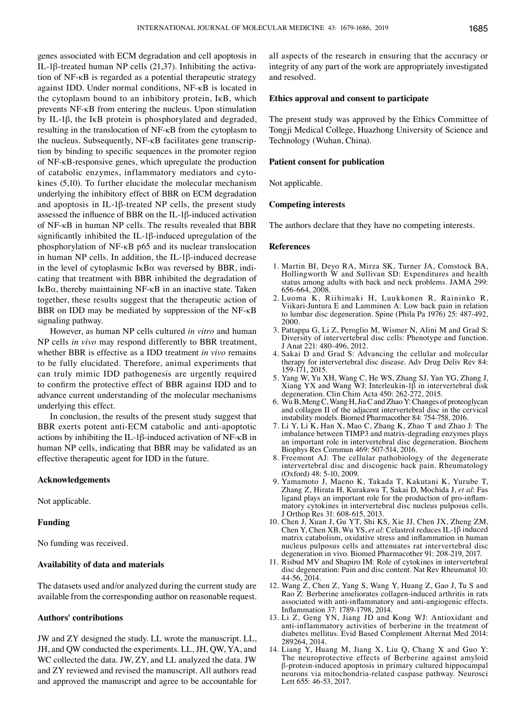genes associated with ECM degradation and cell apoptosis in IL-1β-treated human NP cells  $(21,37)$ . Inhibiting the activation of NF-κB is regarded as a potential therapeutic strategy against IDD. Under normal conditions, NF-κB is located in the cytoplasm bound to an inhibitory protein, IκB, which prevents NF-κB from entering the nucleus. Upon stimulation by IL-1β, the IκB protein is phosphorylated and degraded, resulting in the translocation of NF-κB from the cytoplasm to the nucleus. Subsequently, NF-κB facilitates gene transcription by binding to specific sequences in the promoter region of NF-κB-responsive genes, which upregulate the production of catabolic enzymes, inflammatory mediators and cytokines (5,10). To further elucidate the molecular mechanism underlying the inhibitory effect of BBR on ECM degradation and apoptosis in IL-1β‑treated NP cells, the present study assessed the influence of BBR on the IL‑1β-induced activation of NF-κB in human NP cells. The results revealed that BBR significantly inhibited the IL‑1β-induced upregulation of the phosphorylation of NF-κB p65 and its nuclear translocation in human NP cells. In addition, the IL‑1β-induced decrease in the level of cytoplasmic  $I \kappa B\alpha$  was reversed by BBR, indicating that treatment with BBR inhibited the degradation of IκBα, thereby maintaining NF-κB in an inactive state. Taken together, these results suggest that the therapeutic action of BBR on IDD may be mediated by suppression of the NF-κB signaling pathway.

However, as human NP cells cultured *in vitro* and human NP cells *in vivo* may respond differently to BBR treatment, whether BBR is effective as a IDD treatment *in vivo* remains to be fully elucidated. Therefore, animal experiments that can truly mimic IDD pathogenesis are urgently required to confirm the protective effect of BBR against IDD and to advance current understanding of the molecular mechanisms underlying this effect.

In conclusion, the results of the present study suggest that BBR exerts potent anti-ECM catabolic and anti-apoptotic actions by inhibiting the IL-1β-induced activation of NF-κB in human NP cells, indicating that BBR may be validated as an effective therapeutic agent for IDD in the future.

#### **Acknowledgements**

Not applicable.

#### **Funding**

No funding was received.

#### **Availability of data and materials**

The datasets used and/or analyzed during the current study are available from the corresponding author on reasonable request.

## **Authors' contributions**

JW and ZY designed the study. LL wrote the manuscript. LL, JH, and QW conducted the experiments. LL, JH, QW, YA, and WC collected the data. JW, ZY, and LL analyzed the data. JW and ZY reviewed and revised the manuscript. All authors read and approved the manuscript and agree to be accountable for all aspects of the research in ensuring that the accuracy or integrity of any part of the work are appropriately investigated and resolved.

#### **Ethics approval and consent to participate**

The present study was approved by the Ethics Committee of Tongji Medical College, Huazhong University of Science and Technology (Wuhan, China).

#### **Patient consent for publication**

Not applicable.

#### **Competing interests**

The authors declare that they have no competing interests.

#### **References**

- 1. Martin BI, Deyo RA, Mirza SK, Turner JA, Comstock BA, Hollingworth W and Sullivan SD: Expenditures and health status among adults with back and neck problems. JAMA 299: 656-664, 2008.
- 2. Luoma K, Riihimaki H, Luukkonen R, Raininko R, Viikari-Juntura E and Lamminen A: Low back pain in relation to lumbar disc degeneration. Spine (Phila Pa 1976) 25: 487‑492, 2000.
- 3. Pattappa G, Li Z, Peroglio M, Wismer N, Alini M and Grad S: Diversity of intervertebral disc cells: Phenotype and function. J Anat 221: 480-496, 2012.
- 4. Sakai D and Grad S: Advancing the cellular and molecular therapy for intervertebral disc disease. Adv Drug Deliv Rev 84: 159-171, 2015.
- 5. Yang W, Yu XH, Wang C, He WS, Zhang SJ, Yan YG, Zhang J, Xiang YX and Wang WJ: Interleukin‑1β in intervertebral disk degeneration. Clin Chim Acta 450: 262-272, 2015.
- 6. WuB, MengC, Wang H, JiaC and Zhao Y: Changes of proteoglycan and collagen II of the adjacent intervertebral disc in the cervical instability models. Biomed Pharmacother 84: 754‑758, 2016.
- 7. Li Y, Li K, Han X, Mao C, Zhang K, Zhao T and Zhao J: The imbalance between TIMP3 and matrix‑degrading enzymes plays an important role in intervertebral disc degeneration. Biochem Biophys Res Commun 469: 507-514, 2016.
- 8. Freemont AJ: The cellular pathobiology of the degenerate intervertebral disc and discogenic back pain. Rheumatology (Oxford) 48: 5-10, 2009.
- 9. Yamamoto J, Maeno K, Takada T, Kakutani K, Yurube T, Zhang Z, Hirata H, Kurakawa T, Sakai D, Mochida J, *et al*: Fas ligand plays an important role for the production of pro-inflammatory cytokines in intervertebral disc nucleus pulposus cells. J Orthop Res 31: 608-615, 2013.
- 10. Chen J, Xuan J, Gu YT, Shi KS, Xie JJ, Chen JX, Zheng ZM, Chen Y, Chen XB, Wu YS, *et al*: Celastrol reduces IL-1β induced matrix catabolism, oxidative stress and inflammation in human nucleus pulposus cells and attenuates rat intervertebral disc degeneration in vivo. Biomed Pharmacother 91: 208‑219, 2017.
- 11. Risbud MV and Shapiro IM: Role of cytokines in intervertebral disc degeneration: Pain and disc content. Nat Rev Rheumatol 10: 44-56, 2014.
- 12. Wang Z, Chen Z, Yang S, Wang Y, Huang Z, Gao J, Tu S and Rao Z: Berberine ameliorates collagen-induced arthritis in rats associated with anti-inflammatory and anti-angiogenic effects. Inflammation 37: 1789‑1798, 2014.
- 13. Li Z, Geng YN, Jiang JD and Kong WJ: Antioxidant and anti-inflammatory activities of berberine in the treatment of diabetes mellitus. Evid Based Complement Alternat Med 2014: 289264, 2014.
- 14. Liang Y, Huang M, Jiang X, Liu Q, Chang X and Guo Y: The neuroprotective effects of Berberine against amyloid β-protein-induced apoptosis in primary cultured hippocampal neurons via mitochondria-related caspase pathway. Neurosci Lett 655: 46-53, 2017.